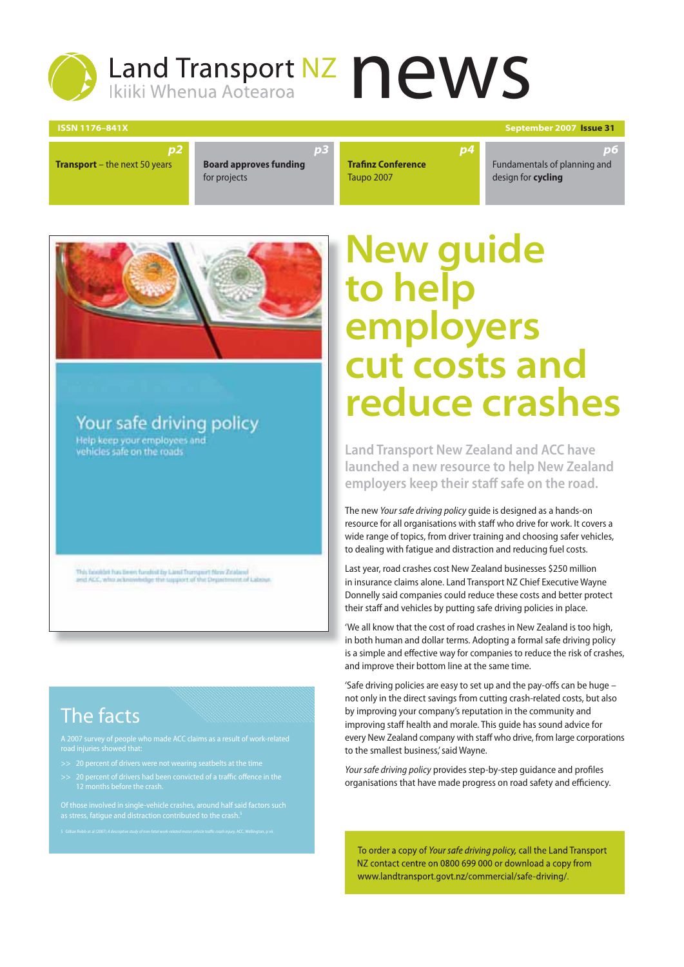# Land Transport NZ news S

*p3*

**ISSN 1176–841X September 2007 Issue 31**

*p6*

**Transport** – the next 50 years

**Board approves funding**  for projects

**Trafinz Conference** Taupo 2007

Fundamentals of planning and design for **cycling**



*p2*

Your safe driving policy Help keep your employees and

vehicles safe on the roads

This booklet has been funded by Land Transport New Zeiderel<br>and ACC, who acknowledge the support of the Department of

### The facts

- 
- >> 20 percent of drivers had been convicted of a traffic offence in the
- 

## **New guide to help employers cut costs and reduce crashes**

*p4*

**Land Transport New Zealand and ACC have launched a new resource to help New Zealand employers keep their staff safe on the road.**

The new Your safe driving policy guide is designed as a hands-on resource for all organisations with staff who drive for work. It covers a wide range of topics, from driver training and choosing safer vehicles, to dealing with fatigue and distraction and reducing fuel costs.

Last year, road crashes cost New Zealand businesses \$250 million in insurance claims alone. Land Transport NZ Chief Executive Wayne Donnelly said companies could reduce these costs and better protect their staff and vehicles by putting safe driving policies in place.

'We all know that the cost of road crashes in New Zealand is too high, in both human and dollar terms. Adopting a formal safe driving policy is a simple and effective way for companies to reduce the risk of crashes, and improve their bottom line at the same time.

'Safe driving policies are easy to set up and the pay-offs can be huge not only in the direct savings from cutting crash-related costs, but also by improving your company's reputation in the community and improving staff health and morale. This guide has sound advice for every New Zealand company with staff who drive, from large corporations to the smallest business,' said Wayne.

Your safe driving policy provides step-by-step guidance and profiles organisations that have made progress on road safety and efficiency.

To order a copy of Your safe driving policy, call the Land Transport NZ contact centre on 0800 699 000 or download a copy from www.landtransport.govt.nz/commercial/safe-driving/.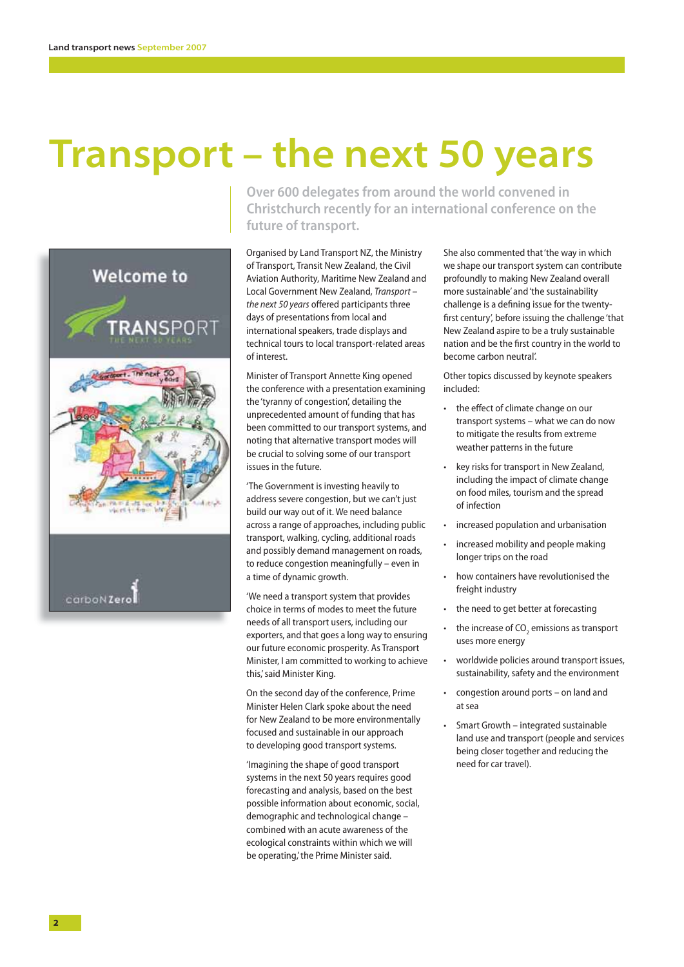## **Transport – the next 50 years**



**Over 600 delegates from around the world convened in Christchurch recently for an international conference on the future of transport.** 

Organised by Land Transport NZ, the Ministry of Transport, Transit New Zealand, the Civil Aviation Authority, Maritime New Zealand and Local Government New Zealand, Transport – the next 50 years offered participants three days of presentations from local and international speakers, trade displays and technical tours to local transport-related areas of interest.

Minister of Transport Annette King opened the conference with a presentation examining the 'tyranny of congestion', detailing the unprecedented amount of funding that has been committed to our transport systems, and noting that alternative transport modes will be crucial to solving some of our transport issues in the future.

'The Government is investing heavily to address severe congestion, but we can't just build our way out of it. We need balance across a range of approaches, including public transport, walking, cycling, additional roads and possibly demand management on roads, to reduce congestion meaningfully – even in a time of dynamic growth.

'We need a transport system that provides choice in terms of modes to meet the future needs of all transport users, including our exporters, and that goes a long way to ensuring our future economic prosperity. As Transport Minister, I am committed to working to achieve this,' said Minister King.

On the second day of the conference, Prime Minister Helen Clark spoke about the need for New Zealand to be more environmentally focused and sustainable in our approach to developing good transport systems.

'Imagining the shape of good transport systems in the next 50 years requires good forecasting and analysis, based on the best possible information about economic, social, demographic and technological change – combined with an acute awareness of the ecological constraints within which we will be operating,' the Prime Minister said.

She also commented that 'the way in which we shape our transport system can contribute profoundly to making New Zealand overall more sustainable' and 'the sustainability challenge is a defining issue for the twentyfirst century', before issuing the challenge 'that New Zealand aspire to be a truly sustainable nation and be the first country in the world to become carbon neutral'.

Other topics discussed by keynote speakers included:

- the effect of climate change on our transport systems – what we can do now to mitigate the results from extreme weather patterns in the future
- key risks for transport in New Zealand, including the impact of climate change on food miles, tourism and the spread of infection
- increased population and urbanisation
- increased mobility and people making longer trips on the road
- how containers have revolutionised the freight industry
- the need to get better at forecasting
- the increase of  $CO<sub>2</sub>$  emissions as transport uses more energy
- worldwide policies around transport issues, sustainability, safety and the environment
- congestion around ports on land and at sea
- Smart Growth integrated sustainable land use and transport (people and services being closer together and reducing the need for car travel).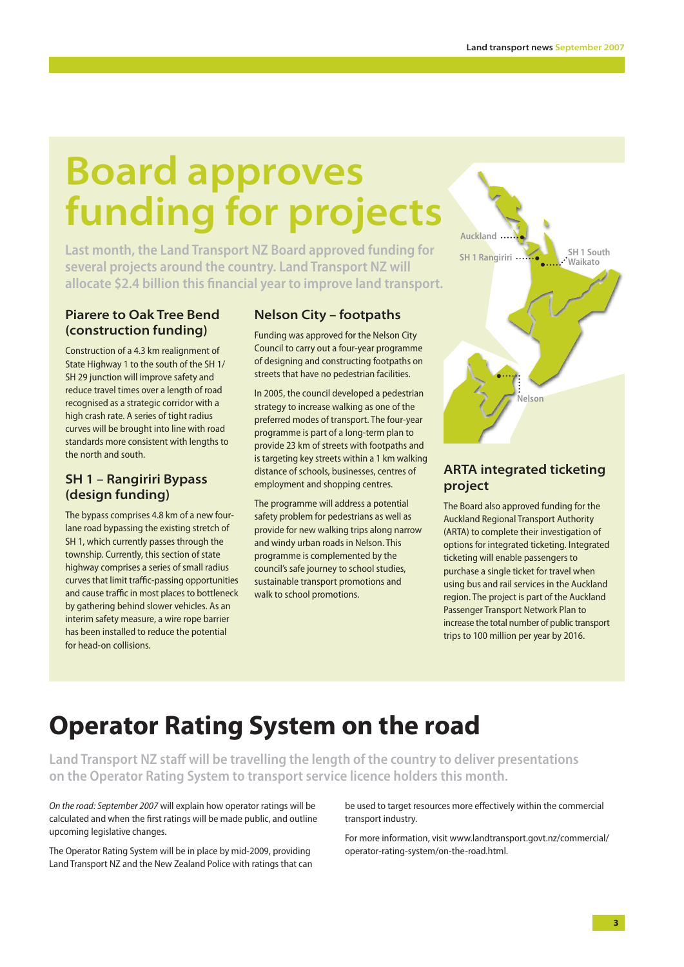## **Board approves funding for projects**

**Last month, the Land Transport NZ Board approved funding for several projects around the country. Land Transport NZ will**  allocate \$2.4 billion this financial year to improve land transport.

### **Piarere to Oak Tree Bend (construction funding)**

Construction of a 4.3 km realignment of State Highway 1 to the south of the SH 1/ SH 29 junction will improve safety and reduce travel times over a length of road recognised as a strategic corridor with a high crash rate. A series of tight radius curves will be brought into line with road standards more consistent with lengths to the north and south.

### **SH 1 – Rangiriri Bypass (design funding)**

The bypass comprises 4.8 km of a new fourlane road bypassing the existing stretch of SH 1, which currently passes through the township. Currently, this section of state highway comprises a series of small radius curves that limit traffic-passing opportunities and cause traffic in most places to bottleneck by gathering behind slower vehicles. As an interim safety measure, a wire rope barrier has been installed to reduce the potential for head-on collisions.

### **Nelson City – footpaths**

Funding was approved for the Nelson City Council to carry out a four-year programme of designing and constructing footpaths on streets that have no pedestrian facilities.

In 2005, the council developed a pedestrian strategy to increase walking as one of the preferred modes of transport. The four-year programme is part of a long-term plan to provide 23 km of streets with footpaths and is targeting key streets within a 1 km walking distance of schools, businesses, centres of employment and shopping centres.

The programme will address a potential safety problem for pedestrians as well as provide for new walking trips along narrow and windy urban roads in Nelson. This programme is complemented by the council's safe journey to school studies, sustainable transport promotions and walk to school promotions.



### **ARTA integrated ticketing project**

The Board also approved funding for the Auckland Regional Transport Authority (ARTA) to complete their investigation of options for integrated ticketing. Integrated ticketing will enable passengers to purchase a single ticket for travel when using bus and rail services in the Auckland region. The project is part of the Auckland Passenger Transport Network Plan to increase the total number of public transport trips to 100 million per year by 2016.

### **Operator Rating System on the road**

**Land Transport NZ staff will be travelling the length of the country to deliver presentations on the Operator Rating System to transport service licence holders this month.**

On the road: September 2007 will explain how operator ratings will be calculated and when the first ratings will be made public, and outline upcoming legislative changes.

The Operator Rating System will be in place by mid-2009, providing Land Transport NZ and the New Zealand Police with ratings that can be used to target resources more effectively within the commercial transport industry.

For more information, visit www.landtransport.govt.nz/commercial/ operator-rating-system/on-the-road.html.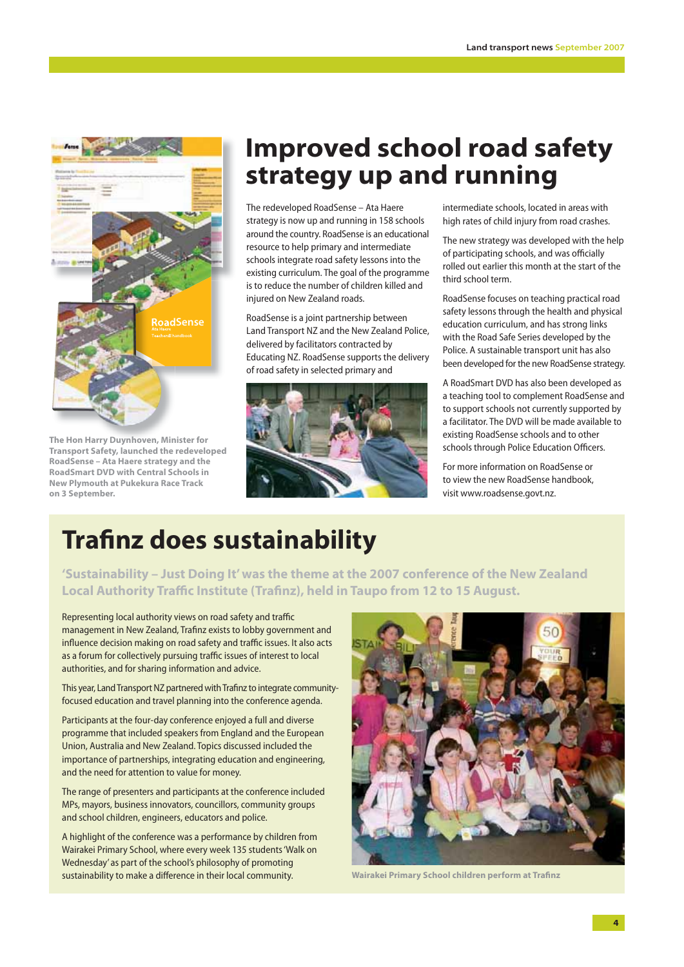

**The Hon Harry Duynhoven, Minister for Transport Safety, launched the redeveloped RoadSense – Ata Haere strategy and the RoadSmart DVD with Central Schools in New Plymouth at Pukekura Race Track on 3 September.**

### **Improved school road safety strategy up and running**

The redeveloped RoadSense – Ata Haere strategy is now up and running in 158 schools around the country. RoadSense is an educational resource to help primary and intermediate schools integrate road safety lessons into the existing curriculum. The goal of the programme is to reduce the number of children killed and injured on New Zealand roads.

RoadSense is a joint partnership between Land Transport NZ and the New Zealand Police, delivered by facilitators contracted by Educating NZ. RoadSense supports the delivery of road safety in selected primary and



intermediate schools, located in areas with high rates of child injury from road crashes.

The new strategy was developed with the help of participating schools, and was officially rolled out earlier this month at the start of the third school term.

RoadSense focuses on teaching practical road safety lessons through the health and physical education curriculum, and has strong links with the Road Safe Series developed by the Police. A sustainable transport unit has also been developed for the new RoadSense strategy.

A RoadSmart DVD has also been developed as a teaching tool to complement RoadSense and to support schools not currently supported by a facilitator. The DVD will be made available to existing RoadSense schools and to other schools through Police Education Officers.

For more information on RoadSense or to view the new RoadSense handbook, visit www.roadsense.govt.nz.

### **Trafinz does sustainability**

**'Sustainability – Just Doing It' was the theme at the 2007 conference of the New Zealand Local Authority Traffic Institute (Trafinz), held in Taupo from 12 to 15 August.** 

Representing local authority views on road safety and traffic management in New Zealand, Trafinz exists to lobby government and influence decision making on road safety and traffic issues. It also acts as a forum for collectively pursuing traffic issues of interest to local authorities, and for sharing information and advice.

This year, Land Transport NZ partnered with Trafinz to integrate communityfocused education and travel planning into the conference agenda.

Participants at the four-day conference enjoyed a full and diverse programme that included speakers from England and the European Union, Australia and New Zealand. Topics discussed included the importance of partnerships, integrating education and engineering, and the need for attention to value for money.

The range of presenters and participants at the conference included MPs, mayors, business innovators, councillors, community groups and school children, engineers, educators and police.

A highlight of the conference was a performance by children from Wairakei Primary School, where every week 135 students 'Walk on Wednesday' as part of the school's philosophy of promoting sustainability to make a difference in their local community.



**Wairakei Primary School children perform at Trafinz**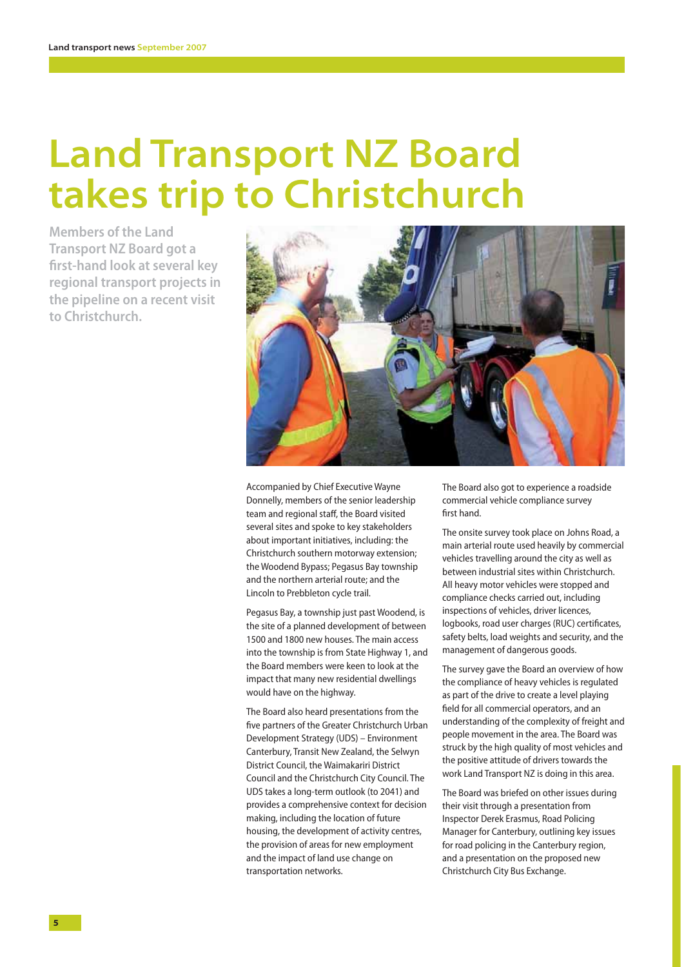## **Land Transport NZ Board takes trip to Christchurch**

**Members of the Land Transport NZ Board got a fi rst-hand look at several key regional transport projects in the pipeline on a recent visit to Christchurch.**



Accompanied by Chief Executive Wayne Donnelly, members of the senior leadership team and regional staff, the Board visited several sites and spoke to key stakeholders about important initiatives, including: the Christchurch southern motorway extension; the Woodend Bypass; Pegasus Bay township and the northern arterial route; and the Lincoln to Prebbleton cycle trail.

Pegasus Bay, a township just past Woodend, is the site of a planned development of between 1500 and 1800 new houses. The main access into the township is from State Highway 1, and the Board members were keen to look at the impact that many new residential dwellings would have on the highway.

The Board also heard presentations from the five partners of the Greater Christchurch Urban Development Strategy (UDS) – Environment Canterbury, Transit New Zealand, the Selwyn District Council, the Waimakariri District Council and the Christchurch City Council. The UDS takes a long-term outlook (to 2041) and provides a comprehensive context for decision making, including the location of future housing, the development of activity centres, the provision of areas for new employment and the impact of land use change on transportation networks.

The Board also got to experience a roadside commercial vehicle compliance survey first hand.

The onsite survey took place on Johns Road, a main arterial route used heavily by commercial vehicles travelling around the city as well as between industrial sites within Christchurch. All heavy motor vehicles were stopped and compliance checks carried out, including inspections of vehicles, driver licences, logbooks, road user charges (RUC) certificates, safety belts, load weights and security, and the management of dangerous goods.

The survey gave the Board an overview of how the compliance of heavy vehicles is regulated as part of the drive to create a level playing field for all commercial operators, and an understanding of the complexity of freight and people movement in the area. The Board was struck by the high quality of most vehicles and the positive attitude of drivers towards the work Land Transport NZ is doing in this area.

The Board was briefed on other issues during their visit through a presentation from Inspector Derek Erasmus, Road Policing Manager for Canterbury, outlining key issues for road policing in the Canterbury region, and a presentation on the proposed new Christchurch City Bus Exchange.